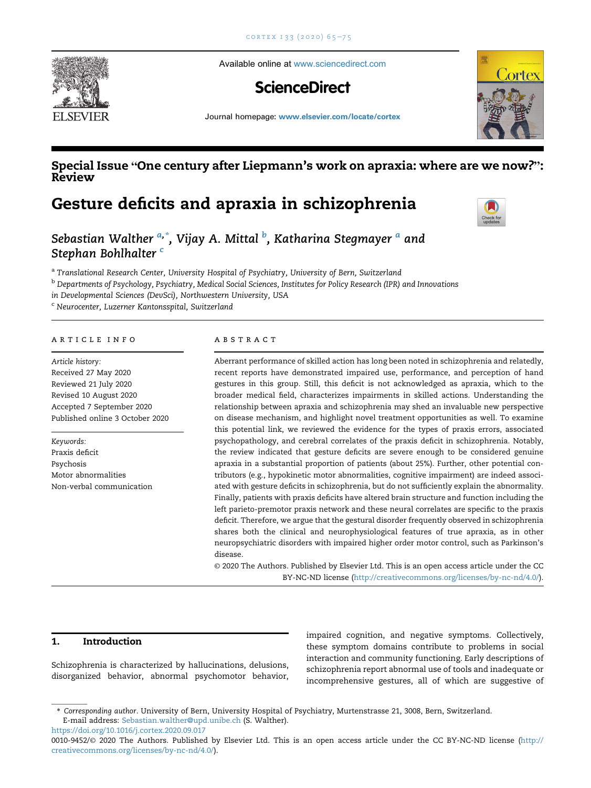

Available online at [www.sciencedirect.com](www.sciencedirect.com/science/journal/00109452)

# **ScienceDirect**



Journal homepage: <www.elsevier.com/locate/cortex>

## Special Issue "One century after Liepmann's work on apraxia: where are we now?": Review

Gesture deficits and apraxia in schizophrenia



Seb[a](#page-0-0)stian Walther <sup>a,\*</sup>, Vijay A. Mittal <sup>[b](#page-0-1)</sup>, Katharina Stegmayer <sup>a</sup> and Stephan Bohlhalter [c](#page-0-2)

<span id="page-0-0"></span>a Translational Research Center, University Hospital of Psychiatry, University of Bern, Switzerland

<span id="page-0-1"></span> $^{\rm b}$  Departments of Psychology, Psychiatry, Medical Social Sciences, Institutes for Policy Research (IPR) and Innovations

in Developmental Sciences (DevSci), Northwestern University, USA

<span id="page-0-2"></span><sup>c</sup> Neurocenter, Luzerner Kantonsspital, Switzerland

#### article info

Article history: Received 27 May 2020 Reviewed 21 July 2020 Revised 10 August 2020 Accepted 7 September 2020 Published online 3 October 2020

Keywords: Praxis deficit Psychosis Motor abnormalities Non-verbal communication

#### abstract

Aberrant performance of skilled action has long been noted in schizophrenia and relatedly, recent reports have demonstrated impaired use, performance, and perception of hand gestures in this group. Still, this deficit is not acknowledged as apraxia, which to the broader medical field, characterizes impairments in skilled actions. Understanding the relationship between apraxia and schizophrenia may shed an invaluable new perspective on disease mechanism, and highlight novel treatment opportunities as well. To examine this potential link, we reviewed the evidence for the types of praxis errors, associated psychopathology, and cerebral correlates of the praxis deficit in schizophrenia. Notably, the review indicated that gesture deficits are severe enough to be considered genuine apraxia in a substantial proportion of patients (about 25%). Further, other potential contributors (e.g., hypokinetic motor abnormalities, cognitive impairment) are indeed associated with gesture deficits in schizophrenia, but do not sufficiently explain the abnormality. Finally, patients with praxis deficits have altered brain structure and function including the left parieto-premotor praxis network and these neural correlates are specific to the praxis deficit. Therefore, we argue that the gestural disorder frequently observed in schizophrenia shares both the clinical and neurophysiological features of true apraxia, as in other neuropsychiatric disorders with impaired higher order motor control, such as Parkinson's disease.

© 2020 The Authors. Published by Elsevier Ltd. This is an open access article under the CC BY-NC-ND license ([http://creativecommons.org/licenses/by-nc-nd/4.0/\)](http://creativecommons.org/licenses/by-nc-nd/4.0/).

### 1. Introduction

Schizophrenia is characterized by hallucinations, delusions, disorganized behavior, abnormal psychomotor behavior, impaired cognition, and negative symptoms. Collectively, these symptom domains contribute to problems in social interaction and community functioning. Early descriptions of schizophrenia report abnormal use of tools and inadequate or incomprehensive gestures, all of which are suggestive of

<sup>\*</sup> Corresponding author. University of Bern, University Hospital of Psychiatry, Murtenstrasse 21, 3008, Bern, Switzerland. E-mail address: [Sebastian.walther@upd.unibe.ch](mailto:Sebastian.walther@upd.unibe.ch) (S. Walther). <https://doi.org/10.1016/j.cortex.2020.09.017>

<sup>0010-9452/</sup>© 2020 The Authors. Published by Elsevier Ltd. This is an open access article under the CC BY-NC-ND license ([http://](http://creativecommons.org/licenses/by-nc-nd/4.0/) [creativecommons.org/licenses/by-nc-nd/4.0/\)](http://creativecommons.org/licenses/by-nc-nd/4.0/).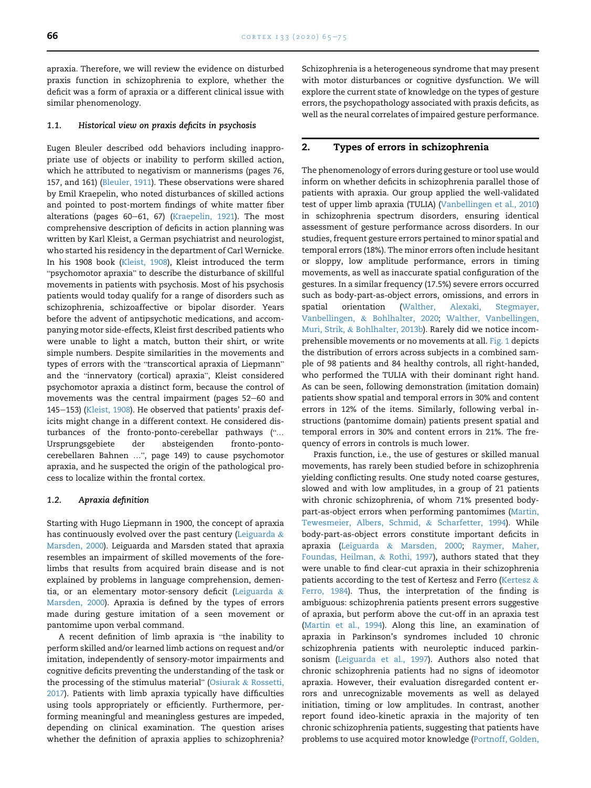apraxia. Therefore, we will review the evidence on disturbed praxis function in schizophrenia to explore, whether the deficit was a form of apraxia or a different clinical issue with similar phenomenology.

#### <span id="page-1-0"></span>1.1. Historical view on praxis deficits in psychosis

Eugen Bleuler described odd behaviors including inappropriate use of objects or inability to perform skilled action, which he attributed to negativism or mannerisms (pages 76, 157, and 161) [\(Bleuler, 1911\)](#page-7-0). These observations were shared by Emil Kraepelin, who noted disturbances of skilled actions and pointed to post-mortem findings of white matter fiber alterations (pages 60-61, 67) [\(Kraepelin, 1921\)](#page-8-0). The most comprehensive description of deficits in action planning was written by Karl Kleist, a German psychiatrist and neurologist, who started his residency in the department of Carl Wernicke. In his 1908 book ([Kleist, 1908\)](#page-8-1), Kleist introduced the term "psychomotor apraxia" to describe the disturbance of skillful movements in patients with psychosis. Most of his psychosis patients would today qualify for a range of disorders such as schizophrenia, schizoaffective or bipolar disorder. Years before the advent of antipsychotic medications, and accompanying motor side-effects, Kleist first described patients who were unable to light a match, button their shirt, or write simple numbers. Despite similarities in the movements and types of errors with the "transcortical apraxia of Liepmann" and the "innervatory (cortical) apraxia", Kleist considered psychomotor apraxia a distinct form, because the control of movements was the central impairment (pages 52-60 and 145-153) [\(Kleist, 1908](#page-8-1)). He observed that patients' praxis deficits might change in a different context. He considered disturbances of the fronto-ponto-cerebellar pathways ("… Ursprungsgebiete der absteigenden fronto-pontocerebellaren Bahnen …", page 149) to cause psychomotor apraxia, and he suspected the origin of the pathological process to localize within the frontal cortex.

#### 1.2. Apraxia definition

Starting with Hugo Liepmann in 1900, the concept of apraxia has continuously evolved over the past century [\(Leiguarda](#page-8-2)  $\&$ [Marsden, 2000](#page-8-2)). Leiguarda and Marsden stated that apraxia resembles an impairment of skilled movements of the forelimbs that results from acquired brain disease and is not explained by problems in language comprehension, dementia, or an elementary motor-sensory deficit ([Leiguarda](#page-8-2) & [Marsden, 2000\)](#page-8-2). Apraxia is defined by the types of errors made during gesture imitation of a seen movement or pantomime upon verbal command.

A recent definition of limb apraxia is "the inability to perform skilled and/or learned limb actions on request and/or imitation, independently of sensory-motor impairments and cognitive deficits preventing the understanding of the task or the processing of the stimulus material" [\(Osiurak](#page-8-3) & [Rossetti,](#page-8-3) [2017\)](#page-8-3). Patients with limb apraxia typically have difficulties using tools appropriately or efficiently. Furthermore, performing meaningful and meaningless gestures are impeded, depending on clinical examination. The question arises whether the definition of apraxia applies to schizophrenia? Schizophrenia is a heterogeneous syndrome that may present with motor disturbances or cognitive dysfunction. We will explore the current state of knowledge on the types of gesture errors, the psychopathology associated with praxis deficits, as well as the neural correlates of impaired gesture performance.

#### 2. Types of errors in schizophrenia

The phenomenology of errors during gesture or tool use would inform on whether deficits in schizophrenia parallel those of patients with apraxia. Our group applied the well-validated test of upper limb apraxia (TULIA) ([Vanbellingen et al., 2010\)](#page-9-0) in schizophrenia spectrum disorders, ensuring identical assessment of gesture performance across disorders. In our studies, frequent gesture errors pertained to minor spatial and temporal errors (18%). The minor errors often include hesitant or sloppy, low amplitude performance, errors in timing movements, as well as inaccurate spatial configuration of the gestures. In a similar frequency (17.5%) severe errors occurred such as body-part-as-object errors, omissions, and errors in spatial orientation [\(Walther, Alexaki, Stegmayer,](#page-9-1) [Vanbellingen,](#page-9-1) & [Bohlhalter, 2020;](#page-9-1) [Walther, Vanbellingen,](#page-9-2) [Muri, Strik,](#page-9-2) & [Bohlhalter, 2013b](#page-9-2)). Rarely did we notice incomprehensible movements or no movements at all. [Fig. 1](#page-2-0) depicts the distribution of errors across subjects in a combined sample of 98 patients and 84 healthy controls, all right-handed, who performed the TULIA with their dominant right hand. As can be seen, following demonstration (imitation domain) patients show spatial and temporal errors in 30% and content errors in 12% of the items. Similarly, following verbal instructions (pantomime domain) patients present spatial and temporal errors in 30% and content errors in 21%. The frequency of errors in controls is much lower.

Praxis function, i.e., the use of gestures or skilled manual movements, has rarely been studied before in schizophrenia yielding conflicting results. One study noted coarse gestures, slowed and with low amplitudes, in a group of 21 patients with chronic schizophrenia, of whom 71% presented bodypart-as-object errors when performing pantomimes ([Martin,](#page-8-4) [Tewesmeier, Albers, Schmid,](#page-8-4) & [Scharfetter, 1994\)](#page-8-4). While body-part-as-object errors constitute important deficits in apraxia ([Leiguarda](#page-8-2) & [Marsden, 2000;](#page-8-2) [Raymer, Maher,](#page-8-5) [Foundas, Heilman,](#page-8-5) & [Rothi, 1997\)](#page-8-5), authors stated that they were unable to find clear-cut apraxia in their schizophrenia patients according to the test of [Kertesz](#page-8-6) and Ferro (Kertesz & [Ferro, 1984\)](#page-8-6). Thus, the interpretation of the finding is ambiguous: schizophrenia patients present errors suggestive of apraxia, but perform above the cut-off in an apraxia test ([Martin et al., 1994](#page-8-4)). Along this line, an examination of apraxia in Parkinson's syndromes included 10 chronic schizophrenia patients with neuroleptic induced parkinsonism ([Leiguarda et al., 1997](#page-8-7)). Authors also noted that chronic schizophrenia patients had no signs of ideomotor apraxia. However, their evaluation disregarded content errors and unrecognizable movements as well as delayed initiation, timing or low amplitudes. In contrast, another report found ideo-kinetic apraxia in the majority of ten chronic schizophrenia patients, suggesting that patients have problems to use acquired motor knowledge ([Portnoff, Golden,](#page-8-8)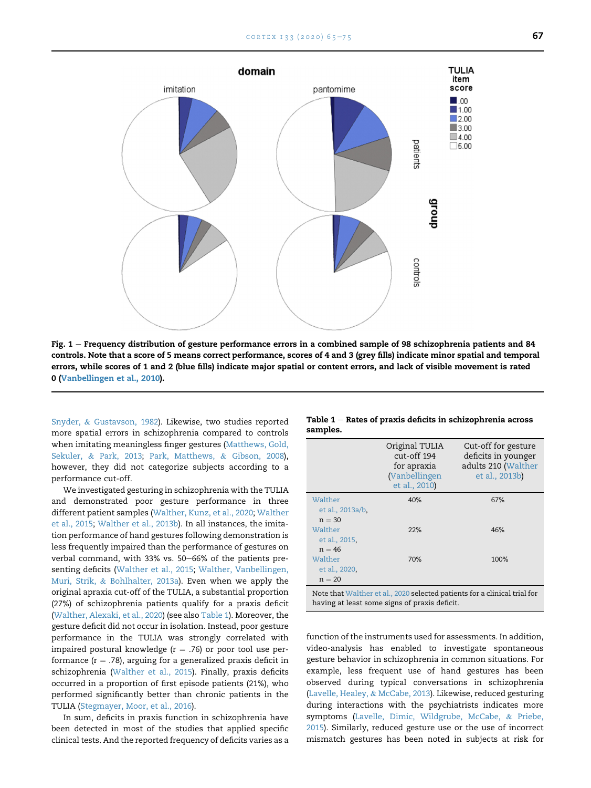<span id="page-2-0"></span>

Fig.  $1$  – Frequency distribution of gesture performance errors in a combined sample of 98 schizophrenia patients and 84 controls. Note that a score of 5 means correct performance, scores of 4 and 3 (grey fills) indicate minor spatial and temporal errors, while scores of 1 and 2 (blue fills) indicate major spatial or content errors, and lack of visible movement is rated 0 ([Vanbellingen et al., 2010](#page-9-0)).

[Snyder,](#page-8-8) & [Gustavson, 1982](#page-8-8)). Likewise, two studies reported more spatial errors in schizophrenia compared to controls when imitating meaningless finger gestures ([Matthews, Gold,](#page-8-9) [Sekuler,](#page-8-9) & [Park, 2013](#page-8-9); [Park, Matthews,](#page-8-10) & [Gibson, 2008](#page-8-10)), however, they did not categorize subjects according to a performance cut-off.

We investigated gesturing in schizophrenia with the TULIA and demonstrated poor gesture performance in three different patient samples [\(Walther, Kunz, et al., 2020](#page-9-2); [Walther](#page-9-3) [et al., 2015;](#page-9-3) [Walther et al., 2013b\)](#page-9-2). In all instances, the imitation performance of hand gestures following demonstration is less frequently impaired than the performance of gestures on verbal command, with 33% vs. 50-66% of the patients presenting deficits [\(Walther et al., 2015;](#page-9-3) [Walther, Vanbellingen,](#page-9-1) [Muri, Strik,](#page-9-1) & [Bohlhalter, 2013a](#page-9-1)). Even when we apply the original apraxia cut-off of the TULIA, a substantial proportion (27%) of schizophrenia patients qualify for a praxis deficit [\(Walther, Alexaki, et al., 2020\)](#page-9-4) (see also [Table 1\)](#page-2-1). Moreover, the gesture deficit did not occur in isolation. Instead, poor gesture performance in the TULIA was strongly correlated with impaired postural knowledge ( $r = .76$ ) or poor tool use performance ( $r = .78$ ), arguing for a generalized praxis deficit in schizophrenia ([Walther et al., 2015\)](#page-9-3). Finally, praxis deficits occurred in a proportion of first episode patients (21%), who performed significantly better than chronic patients in the TULIA [\(Stegmayer, Moor, et al., 2016](#page-9-5)).

In sum, deficits in praxis function in schizophrenia have been detected in most of the studies that applied specific clinical tests. And the reported frequency of deficits varies as a

<span id="page-2-1"></span>

|          | Table $1$ $-$ Rates of praxis deficits in schizophrenia across |  |  |
|----------|----------------------------------------------------------------|--|--|
| samples. |                                                                |  |  |

|                                                                                                                            | Original TULIA<br>cut-off 194<br>for apraxia<br>(Vanbellingen<br>et al., 2010) | Cut-off for gesture<br>deficits in younger<br>adults 210 (Walther<br>et al., 2013b) |  |  |  |
|----------------------------------------------------------------------------------------------------------------------------|--------------------------------------------------------------------------------|-------------------------------------------------------------------------------------|--|--|--|
| Walther<br>et al., 2013a/b.                                                                                                | 40%                                                                            | 67%                                                                                 |  |  |  |
| $n = 30$                                                                                                                   |                                                                                |                                                                                     |  |  |  |
| Walther                                                                                                                    | 22%                                                                            | 46%                                                                                 |  |  |  |
| et al., 2015,                                                                                                              |                                                                                |                                                                                     |  |  |  |
| $n = 46$                                                                                                                   |                                                                                |                                                                                     |  |  |  |
| Walther                                                                                                                    | 70%                                                                            | 100%                                                                                |  |  |  |
| et al., 2020,                                                                                                              |                                                                                |                                                                                     |  |  |  |
| $n = 20$                                                                                                                   |                                                                                |                                                                                     |  |  |  |
| Note that Walther et al., 2020 selected patients for a clinical trial for<br>having at least some signs of praxis deficit. |                                                                                |                                                                                     |  |  |  |

function of the instruments used for assessments. In addition, video-analysis has enabled to investigate spontaneous gesture behavior in schizophrenia in common situations. For example, less frequent use of hand gestures has been observed during typical conversations in schizophrenia [\(Lavelle, Healey,](#page-8-11) & [McCabe, 2013\)](#page-8-11). Likewise, reduced gesturing during interactions with the psychiatrists indicates more symptoms [\(Lavelle, Dimic, Wildgrube, McCabe,](#page-8-12) & [Priebe,](#page-8-12) [2015](#page-8-12)). Similarly, reduced gesture use or the use of incorrect mismatch gestures has been noted in subjects at risk for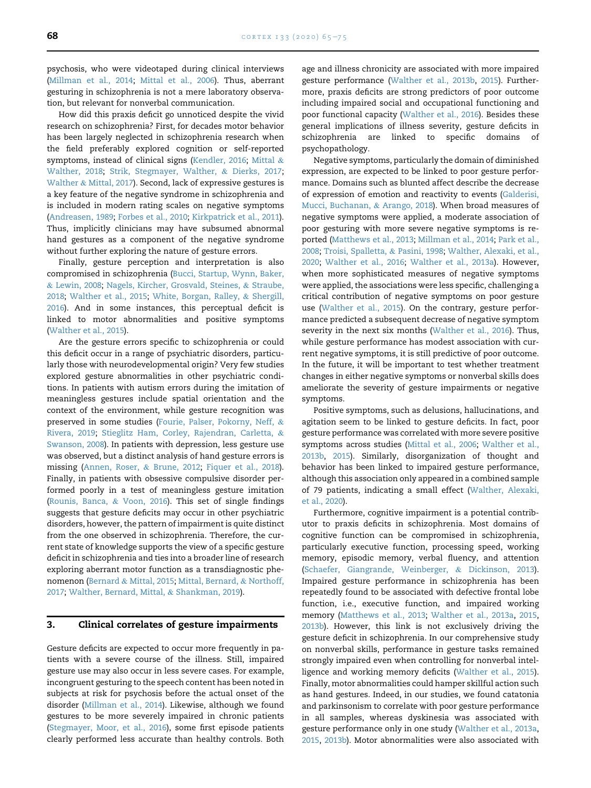psychosis, who were videotaped during clinical interviews ([Millman et al., 2014](#page-8-13); [Mittal et al., 2006](#page-8-14)). Thus, aberrant gesturing in schizophrenia is not a mere laboratory observation, but relevant for nonverbal communication.

How did this praxis deficit go unnoticed despite the vivid research on schizophrenia? First, for decades motor behavior has been largely neglected in schizophrenia research when the field preferably explored cognition or self-reported symptoms, instead of clinical signs ([Kendler, 2016](#page-7-1); [Mittal](#page-8-15) & [Walther, 2018;](#page-8-15) [Strik, Stegmayer, Walther,](#page-9-6) & [Dierks, 2017](#page-9-6); [Walther](#page-9-7) & [Mittal, 2017](#page-9-7)). Second, lack of expressive gestures is a key feature of the negative syndrome in schizophrenia and is included in modern rating scales on negative symptoms ([Andreasen, 1989](#page-7-2); [Forbes et al., 2010;](#page-7-3) [Kirkpatrick et al., 2011\)](#page-8-16). Thus, implicitly clinicians may have subsumed abnormal hand gestures as a component of the negative syndrome without further exploring the nature of gesture errors.

Finally, gesture perception and interpretation is also compromised in schizophrenia [\(Bucci, Startup, Wynn, Baker,](#page-7-4) & [Lewin, 2008](#page-7-4); [Nagels, Kircher, Grosvald, Steines,](#page-8-17) & [Straube,](#page-8-17) [2018;](#page-8-17) [Walther et al., 2015](#page-9-3); [White, Borgan, Ralley,](#page-10-0) & [Shergill,](#page-10-0) [2016\)](#page-10-0). And in some instances, this perceptual deficit is linked to motor abnormalities and positive symptoms ([Walther et al., 2015](#page-9-3)).

Are the gesture errors specific to schizophrenia or could this deficit occur in a range of psychiatric disorders, particularly those with neurodevelopmental origin? Very few studies explored gesture abnormalities in other psychiatric conditions. In patients with autism errors during the imitation of meaningless gestures include spatial orientation and the context of the environment, while gesture recognition was preserved in some studies ([Fourie, Palser, Pokorny, Neff,](#page-7-5) & [Rivera, 2019](#page-7-5); [Stieglitz Ham, Corley, Rajendran, Carletta,](#page-9-8) & [Swanson, 2008](#page-9-8)). In patients with depression, less gesture use was observed, but a distinct analysis of hand gesture errors is missing [\(Annen, Roser,](#page-7-6) & [Brune, 2012;](#page-7-6) [Fiquer et al., 2018\)](#page-7-7). Finally, in patients with obsessive compulsive disorder performed poorly in a test of meaningless gesture imitation ([Rounis, Banca,](#page-8-18) & [Voon, 2016\)](#page-8-18). This set of single findings suggests that gesture deficits may occur in other psychiatric disorders, however, the pattern of impairment is quite distinct from the one observed in schizophrenia. Therefore, the current state of knowledge supports the view of a specific gesture deficit in schizophrenia and ties into a broader line of research exploring aberrant motor function as a transdiagnostic phenomenon [\(Bernard](#page-7-8) & [Mittal, 2015;](#page-7-8) [Mittal, Bernard,](#page-8-19) & [Northoff,](#page-8-19) [2017;](#page-8-19) [Walther, Bernard, Mittal,](#page-9-9) & [Shankman, 2019](#page-9-9)).

#### 3. Clinical correlates of gesture impairments

Gesture deficits are expected to occur more frequently in patients with a severe course of the illness. Still, impaired gesture use may also occur in less severe cases. For example, incongruent gesturing to the speech content has been noted in subjects at risk for psychosis before the actual onset of the disorder [\(Millman et al., 2014\)](#page-8-13). Likewise, although we found gestures to be more severely impaired in chronic patients ([Stegmayer, Moor, et al., 2016\)](#page-9-5), some first episode patients clearly performed less accurate than healthy controls. Both

age and illness chronicity are associated with more impaired gesture performance ([Walther et al., 2013b,](#page-9-2) [2015](#page-9-3)). Furthermore, praxis deficits are strong predictors of poor outcome including impaired social and occupational functioning and poor functional capacity ([Walther et al., 2016\)](#page-9-10). Besides these general implications of illness severity, gesture deficits in schizophrenia are linked to specific domains of psychopathology.

Negative symptoms, particularly the domain of diminished expression, are expected to be linked to poor gesture performance. Domains such as blunted affect describe the decrease of expression of emotion and reactivity to events ([Galderisi,](#page-7-9) [Mucci, Buchanan,](#page-7-9) & [Arango, 2018](#page-7-9)). When broad measures of negative symptoms were applied, a moderate association of poor gesturing with more severe negative symptoms is reported ([Matthews et al., 2013;](#page-8-9) [Millman et al., 2014;](#page-8-13) [Park et al.,](#page-8-10) [2008;](#page-8-10) [Troisi, Spalletta,](#page-9-11) & [Pasini, 1998;](#page-9-11) [Walther, Alexaki, et al.,](#page-9-4) [2020;](#page-9-4) [Walther et al., 2016;](#page-9-10) [Walther et al., 2013a\)](#page-9-1). However, when more sophisticated measures of negative symptoms were applied, the associations were less specific, challenging a critical contribution of negative symptoms on poor gesture use [\(Walther et al., 2015](#page-9-3)). On the contrary, gesture performance predicted a subsequent decrease of negative symptom severity in the next six months ([Walther et al., 2016\)](#page-9-10). Thus, while gesture performance has modest association with current negative symptoms, it is still predictive of poor outcome. In the future, it will be important to test whether treatment changes in either negative symptoms or nonverbal skills does ameliorate the severity of gesture impairments or negative symptoms.

Positive symptoms, such as delusions, hallucinations, and agitation seem to be linked to gesture deficits. In fact, poor gesture performance was correlated with more severe positive symptoms across studies ([Mittal et al., 2006](#page-8-14); [Walther et al.,](#page-9-2) [2013b,](#page-9-2) [2015](#page-9-3)). Similarly, disorganization of thought and behavior has been linked to impaired gesture performance, although this association only appeared in a combined sample of 79 patients, indicating a small effect ([Walther, Alexaki,](#page-9-4) [et al., 2020\)](#page-9-4).

Furthermore, cognitive impairment is a potential contributor to praxis deficits in schizophrenia. Most domains of cognitive function can be compromised in schizophrenia, particularly executive function, processing speed, working memory, episodic memory, verbal fluency, and attention ([Schaefer, Giangrande, Weinberger,](#page-8-20) & [Dickinson, 2013\)](#page-8-20). Impaired gesture performance in schizophrenia has been repeatedly found to be associated with defective frontal lobe function, i.e., executive function, and impaired working memory [\(Matthews et al., 2013;](#page-8-9) [Walther et al., 2013a,](#page-9-1) [2015](#page-9-3), [2013b\)](#page-9-2). However, this link is not exclusively driving the gesture deficit in schizophrenia. In our comprehensive study on nonverbal skills, performance in gesture tasks remained strongly impaired even when controlling for nonverbal intelligence and working memory deficits ([Walther et al., 2015\)](#page-9-3). Finally, motor abnormalities could hamper skillful action such as hand gestures. Indeed, in our studies, we found catatonia and parkinsonism to correlate with poor gesture performance in all samples, whereas dyskinesia was associated with gesture performance only in one study [\(Walther et al., 2013a](#page-9-1), [2015,](#page-9-3) [2013b](#page-9-2)). Motor abnormalities were also associated with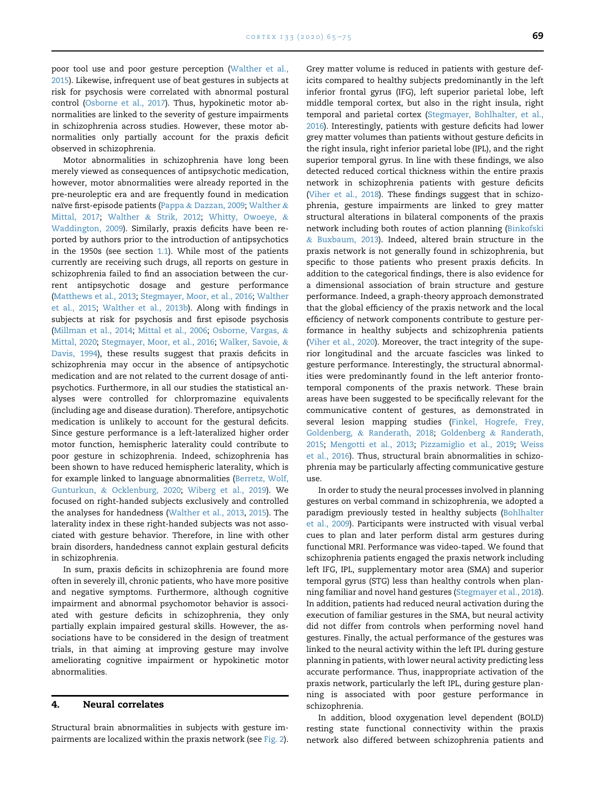poor tool use and poor gesture perception [\(Walther et al.,](#page-9-3) [2015](#page-9-3)). Likewise, infrequent use of beat gestures in subjects at risk for psychosis were correlated with abnormal postural control ([Osborne et al., 2017\)](#page-8-21). Thus, hypokinetic motor abnormalities are linked to the severity of gesture impairments in schizophrenia across studies. However, these motor abnormalities only partially account for the praxis deficit observed in schizophrenia.

Motor abnormalities in schizophrenia have long been merely viewed as consequences of antipsychotic medication, however, motor abnormalities were already reported in the pre-neuroleptic era and are frequently found in medication naïve first-episode patients [\(Pappa](#page-8-22) & [Dazzan, 2009;](#page-8-22) [Walther](#page-9-7) & [Mittal, 2017;](#page-9-7) [Walther](#page-9-12) & [Strik, 2012](#page-9-12); [Whitty, Owoeye,](#page-10-1) & [Waddington, 2009\)](#page-10-1). Similarly, praxis deficits have been reported by authors prior to the introduction of antipsychotics in the 1950s (see section [1.1\)](#page-1-0). While most of the patients currently are receiving such drugs, all reports on gesture in schizophrenia failed to find an association between the current antipsychotic dosage and gesture performance [\(Matthews et al., 2013](#page-8-9); [Stegmayer, Moor, et al., 2016](#page-9-5); [Walther](#page-9-3) [et al., 2015](#page-9-3); [Walther et al., 2013b](#page-9-2)). Along with findings in subjects at risk for psychosis and first episode psychosis [\(Millman et al., 2014;](#page-8-13) [Mittal et al., 2006;](#page-8-14) [Osborne, Vargas,](#page-8-23) & [Mittal, 2020](#page-8-23); [Stegmayer, Moor, et al., 2016](#page-9-5); [Walker, Savoie,](#page-9-13) & [Davis, 1994](#page-9-13)), these results suggest that praxis deficits in schizophrenia may occur in the absence of antipsychotic medication and are not related to the current dosage of antipsychotics. Furthermore, in all our studies the statistical analyses were controlled for chlorpromazine equivalents (including age and disease duration). Therefore, antipsychotic medication is unlikely to account for the gestural deficits. Since gesture performance is a left-lateralized higher order motor function, hemispheric laterality could contribute to poor gesture in schizophrenia. Indeed, schizophrenia has been shown to have reduced hemispheric laterality, which is for example linked to language abnormalities [\(Berretz, Wolf,](#page-7-10) [Gunturkun,](#page-7-10) & [Ocklenburg, 2020](#page-7-10); [Wiberg et al., 2019](#page-10-2)). We focused on right-handed subjects exclusively and controlled the analyses for handedness ([Walther et al., 2013](#page-9-1), [2015\)](#page-9-3). The laterality index in these right-handed subjects was not associated with gesture behavior. Therefore, in line with other brain disorders, handedness cannot explain gestural deficits in schizophrenia.

In sum, praxis deficits in schizophrenia are found more often in severely ill, chronic patients, who have more positive and negative symptoms. Furthermore, although cognitive impairment and abnormal psychomotor behavior is associated with gesture deficits in schizophrenia, they only partially explain impaired gestural skills. However, the associations have to be considered in the design of treatment trials, in that aiming at improving gesture may involve ameliorating cognitive impairment or hypokinetic motor abnormalities.

#### 4. Neural correlates

Structural brain abnormalities in subjects with gesture impairments are localized within the praxis network (see [Fig. 2](#page-5-0)). Grey matter volume is reduced in patients with gesture deficits compared to healthy subjects predominantly in the left inferior frontal gyrus (IFG), left superior parietal lobe, left middle temporal cortex, but also in the right insula, right temporal and parietal cortex [\(Stegmayer, Bohlhalter, et al.,](#page-9-14) [2016](#page-9-14)). Interestingly, patients with gesture deficits had lower grey matter volumes than patients without gesture deficits in the right insula, right inferior parietal lobe (IPL), and the right superior temporal gyrus. In line with these findings, we also detected reduced cortical thickness within the entire praxis network in schizophrenia patients with gesture deficits [\(Viher et al., 2018\)](#page-9-15). These findings suggest that in schizophrenia, gesture impairments are linked to grey matter structural alterations in bilateral components of the praxis network including both routes of action planning ([Binkofski](#page-7-11) & [Buxbaum, 2013\)](#page-7-11). Indeed, altered brain structure in the praxis network is not generally found in schizophrenia, but specific to those patients who present praxis deficits. In addition to the categorical findings, there is also evidence for a dimensional association of brain structure and gesture performance. Indeed, a graph-theory approach demonstrated that the global efficiency of the praxis network and the local efficiency of network components contribute to gesture performance in healthy subjects and schizophrenia patients [\(Viher et al., 2020\)](#page-9-16). Moreover, the tract integrity of the superior longitudinal and the arcuate fascicles was linked to gesture performance. Interestingly, the structural abnormalities were predominantly found in the left anterior frontotemporal components of the praxis network. These brain areas have been suggested to be specifically relevant for the communicative content of gestures, as demonstrated in several lesion mapping studies [\(Finkel, Hogrefe, Frey,](#page-7-12) [Goldenberg,](#page-7-12) & [Randerath, 2018](#page-7-12); [Goldenberg](#page-7-13) & [Randerath,](#page-7-13) [2015](#page-7-13); [Mengotti et al., 2013](#page-8-24); [Pizzamiglio et al., 2019](#page-8-25); [Weiss](#page-10-3) [et al., 2016](#page-10-3)). Thus, structural brain abnormalities in schizophrenia may be particularly affecting communicative gesture use.

In order to study the neural processes involved in planning gestures on verbal command in schizophrenia, we adopted a paradigm previously tested in healthy subjects [\(Bohlhalter](#page-7-14) [et al., 2009](#page-7-14)). Participants were instructed with visual verbal cues to plan and later perform distal arm gestures during functional MRI. Performance was video-taped. We found that schizophrenia patients engaged the praxis network including left IFG, IPL, supplementary motor area (SMA) and superior temporal gyrus (STG) less than healthy controls when planning familiar and novel hand gestures ([Stegmayer et al., 2018](#page-9-17)). In addition, patients had reduced neural activation during the execution of familiar gestures in the SMA, but neural activity did not differ from controls when performing novel hand gestures. Finally, the actual performance of the gestures was linked to the neural activity within the left IPL during gesture planning in patients, with lower neural activity predicting less accurate performance. Thus, inappropriate activation of the praxis network, particularly the left IPL, during gesture planning is associated with poor gesture performance in schizophrenia.

In addition, blood oxygenation level dependent (BOLD) resting state functional connectivity within the praxis network also differed between schizophrenia patients and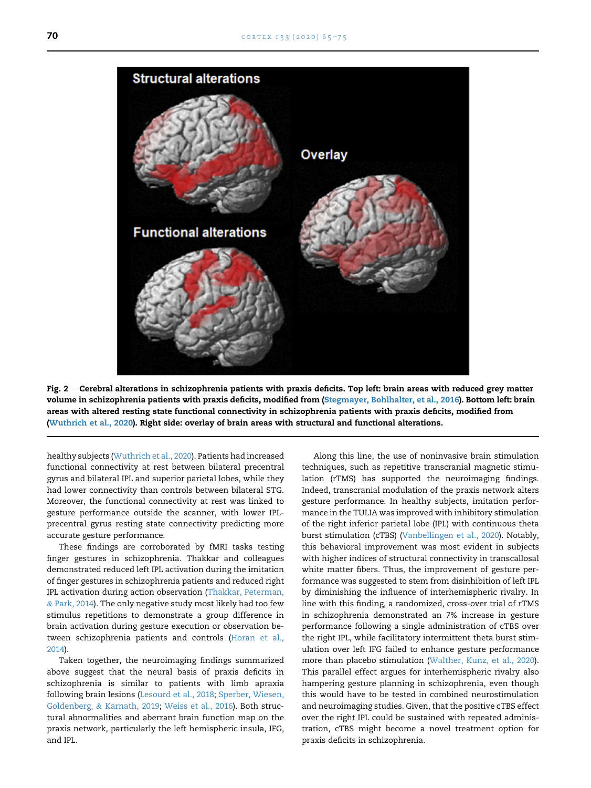<span id="page-5-0"></span>

Fig.  $2$  – Cerebral alterations in schizophrenia patients with praxis deficits. Top left: brain areas with reduced grey matter volume in schizophrenia patients with praxis deficits, modified from ([Stegmayer, Bohlhalter, et al., 2016\)](#page-9-14). Bottom left: brain areas with altered resting state functional connectivity in schizophrenia patients with praxis deficits, modified from ([Wuthrich et al., 2020\)](#page-10-4). Right side: overlay of brain areas with structural and functional alterations.

healthy subjects [\(Wuthrich et al., 2020](#page-10-4)). Patients had increased functional connectivity at rest between bilateral precentral gyrus and bilateral IPL and superior parietal lobes, while they had lower connectivity than controls between bilateral STG. Moreover, the functional connectivity at rest was linked to gesture performance outside the scanner, with lower IPLprecentral gyrus resting state connectivity predicting more accurate gesture performance.

These findings are corroborated by fMRI tasks testing finger gestures in schizophrenia. Thakkar and colleagues demonstrated reduced left IPL activation during the imitation of finger gestures in schizophrenia patients and reduced right IPL activation during action observation [\(Thakkar, Peterman,](#page-9-18) & [Park, 2014](#page-9-18)). The only negative study most likely had too few stimulus repetitions to demonstrate a group difference in brain activation during gesture execution or observation between schizophrenia patients and controls ([Horan et al.,](#page-7-15) [2014\)](#page-7-15).

Taken together, the neuroimaging findings summarized above suggest that the neural basis of praxis deficits in schizophrenia is similar to patients with limb apraxia following brain lesions [\(Lesourd et al., 2018;](#page-8-26) [Sperber, Wiesen,](#page-9-19) [Goldenberg,](#page-9-19) & [Karnath, 2019;](#page-9-19) [Weiss et al., 2016\)](#page-10-3). Both structural abnormalities and aberrant brain function map on the praxis network, particularly the left hemispheric insula, IFG, and IPL.

Along this line, the use of noninvasive brain stimulation techniques, such as repetitive transcranial magnetic stimulation (rTMS) has supported the neuroimaging findings. Indeed, transcranial modulation of the praxis network alters gesture performance. In healthy subjects, imitation performance in the TULIA was improved with inhibitory stimulation of the right inferior parietal lobe (IPL) with continuous theta burst stimulation (cTBS) ([Vanbellingen et al., 2020\)](#page-9-20). Notably, this behavioral improvement was most evident in subjects with higher indices of structural connectivity in transcallosal white matter fibers. Thus, the improvement of gesture performance was suggested to stem from disinhibition of left IPL by diminishing the influence of interhemispheric rivalry. In line with this finding, a randomized, cross-over trial of rTMS in schizophrenia demonstrated an 7% increase in gesture performance following a single administration of cTBS over the right IPL, while facilitatory intermittent theta burst stimulation over left IFG failed to enhance gesture performance more than placebo stimulation [\(Walther, Kunz, et al., 2020\)](#page-9-21). This parallel effect argues for interhemispheric rivalry also hampering gesture planning in schizophrenia, even though this would have to be tested in combined neurostimulation and neuroimaging studies. Given, that the positive cTBS effect over the right IPL could be sustained with repeated administration, cTBS might become a novel treatment option for praxis deficits in schizophrenia.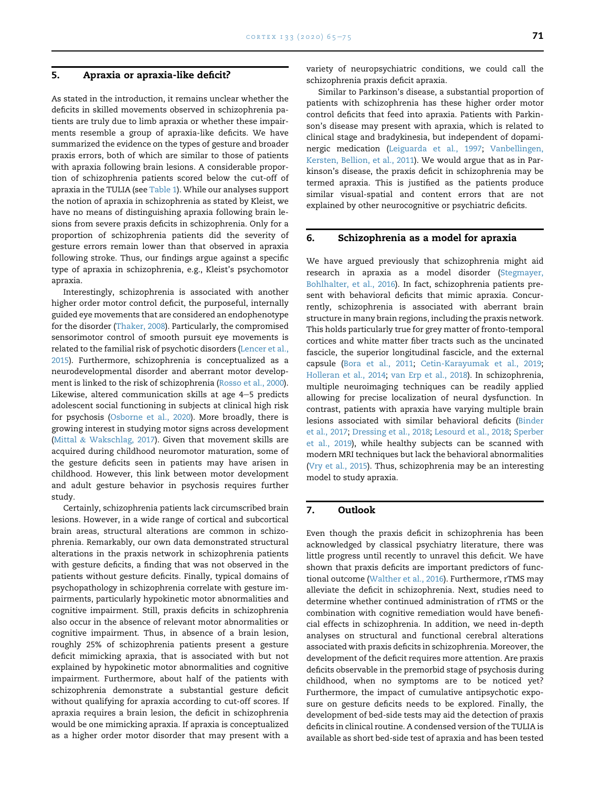#### 5. Apraxia or apraxia-like deficit?

As stated in the introduction, it remains unclear whether the deficits in skilled movements observed in schizophrenia patients are truly due to limb apraxia or whether these impairments resemble a group of apraxia-like deficits. We have summarized the evidence on the types of gesture and broader praxis errors, both of which are similar to those of patients with apraxia following brain lesions. A considerable proportion of schizophrenia patients scored below the cut-off of apraxia in the TULIA (see [Table 1](#page-2-1)). While our analyses support the notion of apraxia in schizophrenia as stated by Kleist, we have no means of distinguishing apraxia following brain lesions from severe praxis deficits in schizophrenia. Only for a proportion of schizophrenia patients did the severity of gesture errors remain lower than that observed in apraxia following stroke. Thus, our findings argue against a specific type of apraxia in schizophrenia, e.g., Kleist's psychomotor apraxia.

Interestingly, schizophrenia is associated with another higher order motor control deficit, the purposeful, internally guided eye movements that are considered an endophenotype for the disorder ([Thaker, 2008](#page-9-22)). Particularly, the compromised sensorimotor control of smooth pursuit eye movements is related to the familial risk of psychotic disorders [\(Lencer et al.,](#page-8-27) [2015](#page-8-27)). Furthermore, schizophrenia is conceptualized as a neurodevelopmental disorder and aberrant motor development is linked to the risk of schizophrenia ([Rosso et al., 2000](#page-8-28)). Likewise, altered communication skills at age  $4-5$  predicts adolescent social functioning in subjects at clinical high risk for psychosis [\(Osborne et al., 2020](#page-8-23)). More broadly, there is growing interest in studying motor signs across development [\(Mittal](#page-8-29) & [Wakschlag, 2017](#page-8-29)). Given that movement skills are acquired during childhood neuromotor maturation, some of the gesture deficits seen in patients may have arisen in childhood. However, this link between motor development and adult gesture behavior in psychosis requires further study.

Certainly, schizophrenia patients lack circumscribed brain lesions. However, in a wide range of cortical and subcortical brain areas, structural alterations are common in schizophrenia. Remarkably, our own data demonstrated structural alterations in the praxis network in schizophrenia patients with gesture deficits, a finding that was not observed in the patients without gesture deficits. Finally, typical domains of psychopathology in schizophrenia correlate with gesture impairments, particularly hypokinetic motor abnormalities and cognitive impairment. Still, praxis deficits in schizophrenia also occur in the absence of relevant motor abnormalities or cognitive impairment. Thus, in absence of a brain lesion, roughly 25% of schizophrenia patients present a gesture deficit mimicking apraxia, that is associated with but not explained by hypokinetic motor abnormalities and cognitive impairment. Furthermore, about half of the patients with schizophrenia demonstrate a substantial gesture deficit without qualifying for apraxia according to cut-off scores. If apraxia requires a brain lesion, the deficit in schizophrenia would be one mimicking apraxia. If apraxia is conceptualized as a higher order motor disorder that may present with a

variety of neuropsychiatric conditions, we could call the schizophrenia praxis deficit apraxia.

Similar to Parkinson's disease, a substantial proportion of patients with schizophrenia has these higher order motor control deficits that feed into apraxia. Patients with Parkinson's disease may present with apraxia, which is related to clinical stage and bradykinesia, but independent of dopaminergic medication [\(Leiguarda et al., 1997;](#page-8-7) [Vanbellingen,](#page-9-23) [Kersten, Bellion, et al., 2011\)](#page-9-23). We would argue that as in Parkinson's disease, the praxis deficit in schizophrenia may be termed apraxia. This is justified as the patients produce similar visual-spatial and content errors that are not explained by other neurocognitive or psychiatric deficits.

#### 6. Schizophrenia as a model for apraxia

We have argued previously that schizophrenia might aid research in apraxia as a model disorder [\(Stegmayer,](#page-9-14) [Bohlhalter, et al., 2016](#page-9-14)). In fact, schizophrenia patients present with behavioral deficits that mimic apraxia. Concurrently, schizophrenia is associated with aberrant brain structure in many brain regions, including the praxis network. This holds particularly true for grey matter of fronto-temporal cortices and white matter fiber tracts such as the uncinated fascicle, the superior longitudinal fascicle, and the external capsule [\(Bora et al., 2011;](#page-7-16) [Cetin-Karayumak et al., 2019;](#page-7-17) [Holleran et al., 2014;](#page-7-18) [van Erp et al., 2018](#page-7-19)). In schizophrenia, multiple neuroimaging techniques can be readily applied allowing for precise localization of neural dysfunction. In contrast, patients with apraxia have varying multiple brain lesions associated with similar behavioral deficits [\(Binder](#page-7-20) [et al., 2017;](#page-7-20) [Dressing et al., 2018](#page-7-21); [Lesourd et al., 2018](#page-8-26); [Sperber](#page-9-19) [et al., 2019\)](#page-9-19), while healthy subjects can be scanned with modern MRI techniques but lack the behavioral abnormalities [\(Vry et al., 2015](#page-9-24)). Thus, schizophrenia may be an interesting model to study apraxia.

## 7. Outlook

Even though the praxis deficit in schizophrenia has been acknowledged by classical psychiatry literature, there was little progress until recently to unravel this deficit. We have shown that praxis deficits are important predictors of functional outcome [\(Walther et al., 2016](#page-9-10)). Furthermore, rTMS may alleviate the deficit in schizophrenia. Next, studies need to determine whether continued administration of rTMS or the combination with cognitive remediation would have beneficial effects in schizophrenia. In addition, we need in-depth analyses on structural and functional cerebral alterations associated with praxis deficits in schizophrenia. Moreover, the development of the deficit requires more attention. Are praxis deficits observable in the premorbid stage of psychosis during childhood, when no symptoms are to be noticed yet? Furthermore, the impact of cumulative antipsychotic exposure on gesture deficits needs to be explored. Finally, the development of bed-side tests may aid the detection of praxis deficits in clinical routine. A condensed version of the TULIA is available as short bed-side test of apraxia and has been tested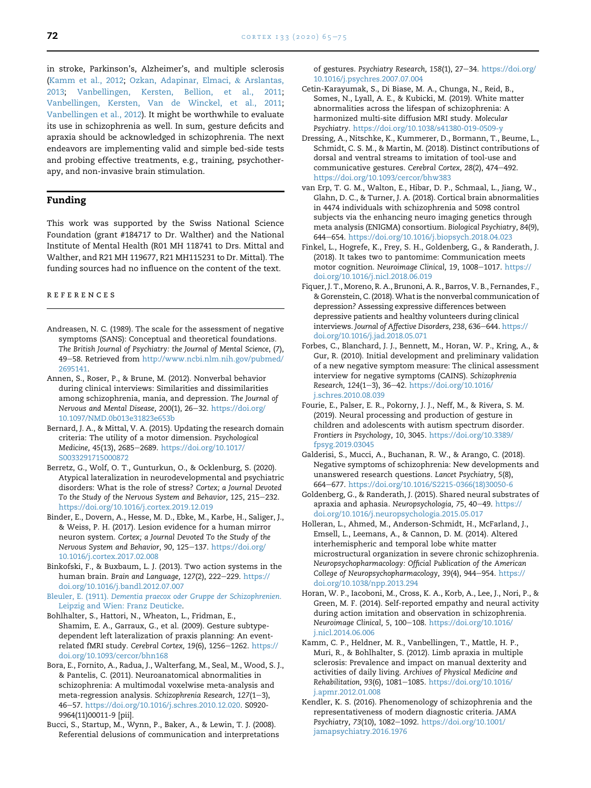in stroke, Parkinson's, Alzheimer's, and multiple sclerosis ([Kamm et al., 2012](#page-7-22); [Ozkan, Adapinar, Elmaci,](#page-8-30) & [Arslantas,](#page-8-30) [2013;](#page-8-30) [Vanbellingen, Kersten, Bellion, et al., 2011](#page-9-23); [Vanbellingen, Kersten, Van de Winckel, et al., 2011](#page-9-25); [Vanbellingen et al., 2012\)](#page-9-26). It might be worthwhile to evaluate its use in schizophrenia as well. In sum, gesture deficits and apraxia should be acknowledged in schizophrenia. The next endeavors are implementing valid and simple bed-side tests and probing effective treatments, e.g., training, psychotherapy, and non-invasive brain stimulation.

#### Funding

This work was supported by the Swiss National Science Foundation (grant #184717 to Dr. Walther) and the National Institute of Mental Health (R01 MH 118741 to Drs. Mittal and Walther, and R21 MH 119677, R21 MH115231 to Dr. Mittal). The funding sources had no influence on the content of the text.

#### references

- <span id="page-7-2"></span>Andreasen, N. C. (1989). The scale for the assessment of negative symptoms (SANS): Conceptual and theoretical foundations. The British Journal of Psychiatry: the Journal of Mental Science, (7), 49-58. Retrieved from [http://www.ncbi.nlm.nih.gov/pubmed/](http://www.ncbi.nlm.nih.gov/pubmed/2695141) [2695141](http://www.ncbi.nlm.nih.gov/pubmed/2695141).
- <span id="page-7-6"></span>Annen, S., Roser, P., & Brune, M. (2012). Nonverbal behavior during clinical interviews: Similarities and dissimilarities among schizophrenia, mania, and depression. The Journal of Nervous and Mental Disease, 200(1), 26-32. [https://doi.org/](https://doi.org/10.1097/NMD.0b013e31823e653b) [10.1097/NMD.0b013e31823e653b](https://doi.org/10.1097/NMD.0b013e31823e653b)
- <span id="page-7-8"></span>Bernard, J. A., & Mittal, V. A. (2015). Updating the research domain criteria: The utility of a motor dimension. Psychological Medicine, 45(13), 2685-2689. [https://doi.org/10.1017/](https://doi.org/10.1017/S0033291715000872) [S0033291715000872](https://doi.org/10.1017/S0033291715000872)
- <span id="page-7-10"></span>Berretz, G., Wolf, O. T., Gunturkun, O., & Ocklenburg, S. (2020). Atypical lateralization in neurodevelopmental and psychiatric disorders: What is the role of stress? Cortex; a Journal Devoted To the Study of the Nervous System and Behavior, 125, 215-232. <https://doi.org/10.1016/j.cortex.2019.12.019>
- <span id="page-7-20"></span>Binder, E., Dovern, A., Hesse, M. D., Ebke, M., Karbe, H., Saliger, J., & Weiss, P. H. (2017). Lesion evidence for a human mirror neuron system. Cortex; a Journal Devoted To the Study of the Nervous System and Behavior, 90, 125-137. [https://doi.org/](https://doi.org/10.1016/j.cortex.2017.02.008) [10.1016/j.cortex.2017.02.008](https://doi.org/10.1016/j.cortex.2017.02.008)
- <span id="page-7-11"></span>Binkofski, F., & Buxbaum, L. J. (2013). Two action systems in the human brain. Brain and Language, 127(2), 222-229. [https://](https://doi.org/10.1016/j.bandl.2012.07.007) [doi.org/10.1016/j.bandl.2012.07.007](https://doi.org/10.1016/j.bandl.2012.07.007)
- <span id="page-7-0"></span>Bleuler, E. (1911). [Dementia praecox oder Gruppe der Schizophrenien](http://refhub.elsevier.com/S0010-9452(20)30360-9/sref7). [Leipzig and Wien: Franz Deuticke](http://refhub.elsevier.com/S0010-9452(20)30360-9/sref7).
- <span id="page-7-14"></span>Bohlhalter, S., Hattori, N., Wheaton, L., Fridman, E., Shamim, E. A., Garraux, G., et al. (2009). Gesture subtypedependent left lateralization of praxis planning: An eventrelated fMRI study. Cerebral Cortex, 19(6), 1256-1262. [https://](https://doi.org/10.1093/cercor/bhn168) [doi.org/10.1093/cercor/bhn168](https://doi.org/10.1093/cercor/bhn168)
- <span id="page-7-16"></span>Bora, E., Fornito, A., Radua, J., Walterfang, M., Seal, M., Wood, S. J., & Pantelis, C. (2011). Neuroanatomical abnormalities in schizophrenia: A multimodal voxelwise meta-analysis and meta-regression analysis. Schizophrenia Research,  $127(1-3)$ , 46-57. <https://doi.org/10.1016/j.schres.2010.12.020>. S0920-9964(11)00011-9 [pii].
- <span id="page-7-4"></span>Bucci, S., Startup, M., Wynn, P., Baker, A., & Lewin, T. J. (2008). Referential delusions of communication and interpretations

of gestures. Psychiatry Research, 158(1), 27-34. [https://doi.org/](https://doi.org/10.1016/j.psychres.2007.07.004) [10.1016/j.psychres.2007.07.004](https://doi.org/10.1016/j.psychres.2007.07.004)

- <span id="page-7-17"></span>Cetin-Karayumak, S., Di Biase, M. A., Chunga, N., Reid, B., Somes, N., Lyall, A. E., & Kubicki, M. (2019). White matter abnormalities across the lifespan of schizophrenia: A harmonized multi-site diffusion MRI study. Molecular Psychiatry. <https://doi.org/10.1038/s41380-019-0509-y>
- <span id="page-7-21"></span>Dressing, A., Nitschke, K., Kummerer, D., Bormann, T., Beume, L., Schmidt, C. S. M., & Martin, M. (2018). Distinct contributions of dorsal and ventral streams to imitation of tool-use and communicative gestures. Cerebral Cortex, 28(2), 474-492. <https://doi.org/10.1093/cercor/bhw383>
- <span id="page-7-19"></span>van Erp, T. G. M., Walton, E., Hibar, D. P., Schmaal, L., Jiang, W., Glahn, D. C., & Turner, J. A. (2018). Cortical brain abnormalities in 4474 individuals with schizophrenia and 5098 control subjects via the enhancing neuro imaging genetics through meta analysis (ENIGMA) consortium. Biological Psychiatry, 84(9), 644e654. <https://doi.org/10.1016/j.biopsych.2018.04.023>
- <span id="page-7-12"></span>Finkel, L., Hogrefe, K., Frey, S. H., Goldenberg, G., & Randerath, J. (2018). It takes two to pantomime: Communication meets motor cognition. Neuroimage Clinical, 19, 1008-1017. [https://](https://doi.org/10.1016/j.nicl.2018.06.019) [doi.org/10.1016/j.nicl.2018.06.019](https://doi.org/10.1016/j.nicl.2018.06.019)
- <span id="page-7-7"></span>Fiquer, J. T., Moreno, R. A., Brunoni, A. R., Barros, V. B., Fernandes, F., & Gorenstein, C. (2018).What is the nonverbal communication of depression? Assessing expressive differences between depressive patients and healthy volunteers during clinical interviews. Journal of Affective Disorders, 238, 636-644. [https://](https://doi.org/10.1016/j.jad.2018.05.071) [doi.org/10.1016/j.jad.2018.05.071](https://doi.org/10.1016/j.jad.2018.05.071)
- <span id="page-7-3"></span>Forbes, C., Blanchard, J. J., Bennett, M., Horan, W. P., Kring, A., & Gur, R. (2010). Initial development and preliminary validation of a new negative symptom measure: The clinical assessment interview for negative symptoms (CAINS). Schizophrenia Research, 124(1-3), 36-42. [https://doi.org/10.1016/](https://doi.org/10.1016/j.schres.2010.08.039) [j.schres.2010.08.039](https://doi.org/10.1016/j.schres.2010.08.039)
- <span id="page-7-5"></span>Fourie, E., Palser, E. R., Pokorny, J. J., Neff, M., & Rivera, S. M. (2019). Neural processing and production of gesture in children and adolescents with autism spectrum disorder. Frontiers in Psychology, 10, 3045. [https://doi.org/10.3389/](https://doi.org/10.3389/fpsyg.2019.03045) [fpsyg.2019.03045](https://doi.org/10.3389/fpsyg.2019.03045)
- <span id="page-7-9"></span>Galderisi, S., Mucci, A., Buchanan, R. W., & Arango, C. (2018). Negative symptoms of schizophrenia: New developments and unanswered research questions. Lancet Psychiatry, 5(8), 664e677. [https://doi.org/10.1016/S2215-0366\(18\)30050-6](https://doi.org/10.1016/S2215-0366(18)30050-6)
- <span id="page-7-13"></span>Goldenberg, G., & Randerath, J. (2015). Shared neural substrates of apraxia and aphasia. Neuropsychologia, 75, 40-49. [https://](https://doi.org/10.1016/j.neuropsychologia.2015.05.017) [doi.org/10.1016/j.neuropsychologia.2015.05.017](https://doi.org/10.1016/j.neuropsychologia.2015.05.017)
- <span id="page-7-18"></span>Holleran, L., Ahmed, M., Anderson-Schmidt, H., McFarland, J., Emsell, L., Leemans, A., & Cannon, D. M. (2014). Altered interhemispheric and temporal lobe white matter microstructural organization in severe chronic schizophrenia. Neuropsychopharmacology: Official Publication of the American College of Neuropsychopharmacology, 39(4), 944-954. [https://](https://doi.org/10.1038/npp.2013.294) [doi.org/10.1038/npp.2013.294](https://doi.org/10.1038/npp.2013.294)
- <span id="page-7-15"></span>Horan, W. P., Iacoboni, M., Cross, K. A., Korb, A., Lee, J., Nori, P., & Green, M. F. (2014). Self-reported empathy and neural activity during action imitation and observation in schizophrenia. Neuroimage Clinical, 5, 100-108. [https://doi.org/10.1016/](https://doi.org/10.1016/j.nicl.2014.06.006) [j.nicl.2014.06.006](https://doi.org/10.1016/j.nicl.2014.06.006)
- <span id="page-7-22"></span>Kamm, C. P., Heldner, M. R., Vanbellingen, T., Mattle, H. P., Muri, R., & Bohlhalter, S. (2012). Limb apraxia in multiple sclerosis: Prevalence and impact on manual dexterity and activities of daily living. Archives of Physical Medicine and Rehabilitation, 93(6), 1081-1085. [https://doi.org/10.1016/](https://doi.org/10.1016/j.apmr.2012.01.008) [j.apmr.2012.01.008](https://doi.org/10.1016/j.apmr.2012.01.008)
- <span id="page-7-1"></span>Kendler, K. S. (2016). Phenomenology of schizophrenia and the representativeness of modern diagnostic criteria. JAMA Psychiatry, 73(10), 1082-1092. [https://doi.org/10.1001/](https://doi.org/10.1001/jamapsychiatry.2016.1976) [jamapsychiatry.2016.1976](https://doi.org/10.1001/jamapsychiatry.2016.1976)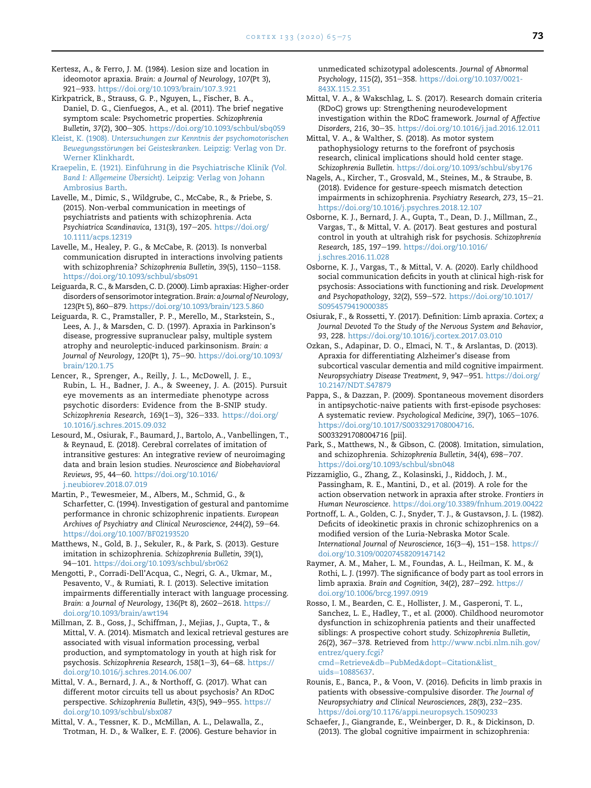- <span id="page-8-6"></span>Kertesz, A., & Ferro, J. M. (1984). Lesion size and location in ideomotor apraxia. Brain: a Journal of Neurology, 107(Pt 3), 921-933. <https://doi.org/10.1093/brain/107.3.921>
- <span id="page-8-16"></span>Kirkpatrick, B., Strauss, G. P., Nguyen, L., Fischer, B. A., Daniel, D. G., Cienfuegos, A., et al. (2011). The brief negative symptom scale: Psychometric properties. Schizophrenia Bulletin, 37(2), 300-305. <https://doi.org/10.1093/schbul/sbq059>
- <span id="page-8-1"></span>Kleist, K. (1908). [Untersuchungen zur Kenntnis der psychomotorischen](http://refhub.elsevier.com/S0010-9452(20)30360-9/sref26) [Bewegungsst](http://refhub.elsevier.com/S0010-9452(20)30360-9/sref26)örungen bei Geisteskranken. Leipzig: Verlag von Dr. [Werner Klinkhardt](http://refhub.elsevier.com/S0010-9452(20)30360-9/sref26).
- <span id="page-8-0"></span>Kraepelin, E. (1921). Einführung in die Psychiatrische Klinik (Vol. Band I: Allgemeine Übersicht)[. Leipzig: Verlag von Johann](http://refhub.elsevier.com/S0010-9452(20)30360-9/sref27) [Ambrosius Barth](http://refhub.elsevier.com/S0010-9452(20)30360-9/sref27).
- <span id="page-8-12"></span>Lavelle, M., Dimic, S., Wildgrube, C., McCabe, R., & Priebe, S. (2015). Non-verbal communication in meetings of psychiatrists and patients with schizophrenia. Acta Psychiatrica Scandinavica, 131(3), 197-205. [https://doi.org/](https://doi.org/10.1111/acps.12319) [10.1111/acps.12319](https://doi.org/10.1111/acps.12319)
- <span id="page-8-11"></span>Lavelle, M., Healey, P. G., & McCabe, R. (2013). Is nonverbal communication disrupted in interactions involving patients with schizophrenia? Schizophrenia Bulletin, 39(5), 1150-1158. <https://doi.org/10.1093/schbul/sbs091>
- <span id="page-8-2"></span>Leiguarda, R. C., & Marsden, C. D. (2000). Limb apraxias: Higher-order disorders of sensorimotor integration.Brain: a Journal of Neurology, 123(Pt 5), 860-879. <https://doi.org/10.1093/brain/123.5.860>
- <span id="page-8-7"></span>Leiguarda, R. C., Pramstaller, P. P., Merello, M., Starkstein, S., Lees, A. J., & Marsden, C. D. (1997). Apraxia in Parkinson's disease, progressive supranuclear palsy, multiple system atrophy and neuroleptic-induced parkinsonism. Brain: a Journal of Neurology, 120(Pt 1), 75-90. [https://doi.org/10.1093/](https://doi.org/10.1093/brain/120.1.75) [brain/120.1.75](https://doi.org/10.1093/brain/120.1.75)
- <span id="page-8-27"></span>Lencer, R., Sprenger, A., Reilly, J. L., McDowell, J. E., Rubin, L. H., Badner, J. A., & Sweeney, J. A. (2015). Pursuit eye movements as an intermediate phenotype across psychotic disorders: Evidence from the B-SNIP study. Schizophrenia Research, 169(1-3), 326-333. [https://doi.org/](https://doi.org/10.1016/j.schres.2015.09.032) [10.1016/j.schres.2015.09.032](https://doi.org/10.1016/j.schres.2015.09.032)
- <span id="page-8-26"></span>Lesourd, M., Osiurak, F., Baumard, J., Bartolo, A., Vanbellingen, T., & Reynaud, E. (2018). Cerebral correlates of imitation of intransitive gestures: An integrative review of neuroimaging data and brain lesion studies. Neuroscience and Biobehavioral Reviews, 95, 44-60. [https://doi.org/10.1016/](https://doi.org/10.1016/j.neubiorev.2018.07.019) [j.neubiorev.2018.07.019](https://doi.org/10.1016/j.neubiorev.2018.07.019)
- <span id="page-8-4"></span>Martin, P., Tewesmeier, M., Albers, M., Schmid, G., & Scharfetter, C. (1994). Investigation of gestural and pantomime performance in chronic schizophrenic inpatients. European Archives of Psychiatry and Clinical Neuroscience, 244(2), 59-64. <https://doi.org/10.1007/BF02193520>
- <span id="page-8-9"></span>Matthews, N., Gold, B. J., Sekuler, R., & Park, S. (2013). Gesture imitation in schizophrenia. Schizophrenia Bulletin, 39(1), 94-101. <https://doi.org/10.1093/schbul/sbr062>
- <span id="page-8-24"></span>Mengotti, P., Corradi-Dell'Acqua, C., Negri, G. A., Ukmar, M., Pesavento, V., & Rumiati, R. I. (2013). Selective imitation impairments differentially interact with language processing. Brain: a Journal of Neurology, 136(Pt 8), 2602-2618. [https://](https://doi.org/10.1093/brain/awt194) [doi.org/10.1093/brain/awt194](https://doi.org/10.1093/brain/awt194)
- <span id="page-8-13"></span>Millman, Z. B., Goss, J., Schiffman, J., Mejias, J., Gupta, T., & Mittal, V. A. (2014). Mismatch and lexical retrieval gestures are associated with visual information processing, verbal production, and symptomatology in youth at high risk for psychosis. Schizophrenia Research, 158(1-3), 64-68. [https://](https://doi.org/10.1016/j.schres.2014.06.007) [doi.org/10.1016/j.schres.2014.06.007](https://doi.org/10.1016/j.schres.2014.06.007)
- <span id="page-8-19"></span>Mittal, V. A., Bernard, J. A., & Northoff, G. (2017). What can different motor circuits tell us about psychosis? An RDoC perspective. Schizophrenia Bulletin, 43(5), 949-955. [https://](https://doi.org/10.1093/schbul/sbx087) [doi.org/10.1093/schbul/sbx087](https://doi.org/10.1093/schbul/sbx087)
- <span id="page-8-14"></span>Mittal, V. A., Tessner, K. D., McMillan, A. L., Delawalla, Z., Trotman, H. D., & Walker, E. F. (2006). Gesture behavior in

unmedicated schizotypal adolescents. Journal of Abnormal Psychology, 115(2), 351-358. [https://doi.org/10.1037/0021-](https://doi.org/10.1037/0021-843X.115.2.351) [843X.115.2.351](https://doi.org/10.1037/0021-843X.115.2.351)

- <span id="page-8-29"></span>Mittal, V. A., & Wakschlag, L. S. (2017). Research domain criteria (RDoC) grows up: Strengthening neurodevelopment investigation within the RDoC framework. Journal of Affective Disorders, 216, 30-35. <https://doi.org/10.1016/j.jad.2016.12.011>
- <span id="page-8-15"></span>Mittal, V. A., & Walther, S. (2018). As motor system pathophysiology returns to the forefront of psychosis research, clinical implications should hold center stage. Schizophrenia Bulletin. <https://doi.org/10.1093/schbul/sby176>
- <span id="page-8-17"></span>Nagels, A., Kircher, T., Grosvald, M., Steines, M., & Straube, B. (2018). Evidence for gesture-speech mismatch detection impairments in schizophrenia. Psychiatry Research, 273, 15-21. <https://doi.org/10.1016/j.psychres.2018.12.107>
- <span id="page-8-21"></span>Osborne, K. J., Bernard, J. A., Gupta, T., Dean, D. J., Millman, Z., Vargas, T., & Mittal, V. A. (2017). Beat gestures and postural control in youth at ultrahigh risk for psychosis. Schizophrenia Research, 185, 197-199. [https://doi.org/10.1016/](https://doi.org/10.1016/j.schres.2016.11.028) [j.schres.2016.11.028](https://doi.org/10.1016/j.schres.2016.11.028)
- <span id="page-8-23"></span>Osborne, K. J., Vargas, T., & Mittal, V. A. (2020). Early childhood social communication deficits in youth at clinical high-risk for psychosis: Associations with functioning and risk. Development and Psychopathology, 32(2), 559-572. [https://doi.org/10.1017/](https://doi.org/10.1017/S0954579419000385) [S0954579419000385](https://doi.org/10.1017/S0954579419000385)
- <span id="page-8-3"></span>Osiurak, F., & Rossetti, Y. (2017). Definition: Limb apraxia. Cortex; a Journal Devoted To the Study of the Nervous System and Behavior, 93, 228. <https://doi.org/10.1016/j.cortex.2017.03.010>
- <span id="page-8-30"></span>Ozkan, S., Adapinar, D. O., Elmaci, N. T., & Arslantas, D. (2013). Apraxia for differentiating Alzheimer's disease from subcortical vascular dementia and mild cognitive impairment. Neuropsychiatry Disease Treatment, 9, 947-951. [https://doi.org/](https://doi.org/10.2147/NDT.S47879) [10.2147/NDT.S47879](https://doi.org/10.2147/NDT.S47879)
- <span id="page-8-22"></span>Pappa, S., & Dazzan, P. (2009). Spontaneous movement disorders in antipsychotic-naive patients with first-episode psychoses: A systematic review. Psychological Medicine, 39(7), 1065-1076. <https://doi.org/10.1017/S0033291708004716>. S0033291708004716 [pii].
- <span id="page-8-10"></span>Park, S., Matthews, N., & Gibson, C. (2008). Imitation, simulation, and schizophrenia. Schizophrenia Bulletin, 34(4), 698-707. <https://doi.org/10.1093/schbul/sbn048>
- <span id="page-8-25"></span>Pizzamiglio, G., Zhang, Z., Kolasinski, J., Riddoch, J. M., Passingham, R. E., Mantini, D., et al. (2019). A role for the action observation network in apraxia after stroke. Frontiers in Human Neuroscience. <https://doi.org/10.3389/fnhum.2019.00422>
- <span id="page-8-8"></span>Portnoff, L. A., Golden, C. J., Snyder, T. J., & Gustavson, J. L. (1982). Deficits of ideokinetic praxis in chronic schizophrenics on a modified version of the Luria-Nebraska Motor Scale. International Journal of Neuroscience, 16(3-4), 151-158. [https://](https://doi.org/10.3109/00207458209147142) [doi.org/10.3109/00207458209147142](https://doi.org/10.3109/00207458209147142)
- <span id="page-8-5"></span>Raymer, A. M., Maher, L. M., Foundas, A. L., Heilman, K. M., & Rothi, L. J. (1997). The significance of body part as tool errors in limb apraxia. Brain and Cognition,  $34(2)$ ,  $287-292$ . [https://](https://doi.org/10.1006/brcg.1997.0919) [doi.org/10.1006/brcg.1997.0919](https://doi.org/10.1006/brcg.1997.0919)
- <span id="page-8-28"></span>Rosso, I. M., Bearden, C. E., Hollister, J. M., Gasperoni, T. L., Sanchez, L. E., Hadley, T., et al. (2000). Childhood neuromotor dysfunction in schizophrenia patients and their unaffected siblings: A prospective cohort study. Schizophrenia Bulletin, 26(2), 367-378. Retrieved from [http://www.ncbi.nlm.nih.gov/](http://www.ncbi.nlm.nih.gov/entrez/query.fcgi?cmd=Retrieve&db=PubMed&dopt=Citation&list_uids=10885637) [entrez/query.fcgi?](http://www.ncbi.nlm.nih.gov/entrez/query.fcgi?cmd=Retrieve&db=PubMed&dopt=Citation&list_uids=10885637) [cmd](http://www.ncbi.nlm.nih.gov/entrez/query.fcgi?cmd=Retrieve&db=PubMed&dopt=Citation&list_uids=10885637)=[Retrieve](http://www.ncbi.nlm.nih.gov/entrez/query.fcgi?cmd=Retrieve&db=PubMed&dopt=Citation&list_uids=10885637)&[db](http://www.ncbi.nlm.nih.gov/entrez/query.fcgi?cmd=Retrieve&db=PubMed&dopt=Citation&list_uids=10885637)=[PubMed](http://www.ncbi.nlm.nih.gov/entrez/query.fcgi?cmd=Retrieve&db=PubMed&dopt=Citation&list_uids=10885637)&[dopt](http://www.ncbi.nlm.nih.gov/entrez/query.fcgi?cmd=Retrieve&db=PubMed&dopt=Citation&list_uids=10885637)=[Citation](http://www.ncbi.nlm.nih.gov/entrez/query.fcgi?cmd=Retrieve&db=PubMed&dopt=Citation&list_uids=10885637)&[list\\_](http://www.ncbi.nlm.nih.gov/entrez/query.fcgi?cmd=Retrieve&db=PubMed&dopt=Citation&list_uids=10885637)
	- [uids](http://www.ncbi.nlm.nih.gov/entrez/query.fcgi?cmd=Retrieve&db=PubMed&dopt=Citation&list_uids=10885637)=[10885637](http://www.ncbi.nlm.nih.gov/entrez/query.fcgi?cmd=Retrieve&db=PubMed&dopt=Citation&list_uids=10885637).
- <span id="page-8-18"></span>Rounis, E., Banca, P., & Voon, V. (2016). Deficits in limb praxis in patients with obsessive-compulsive disorder. The Journal of Neuropsychiatry and Clinical Neurosciences, 28(3), 232-235. <https://doi.org/10.1176/appi.neuropsych.15090233>
- <span id="page-8-20"></span>Schaefer, J., Giangrande, E., Weinberger, D. R., & Dickinson, D. (2013). The global cognitive impairment in schizophrenia: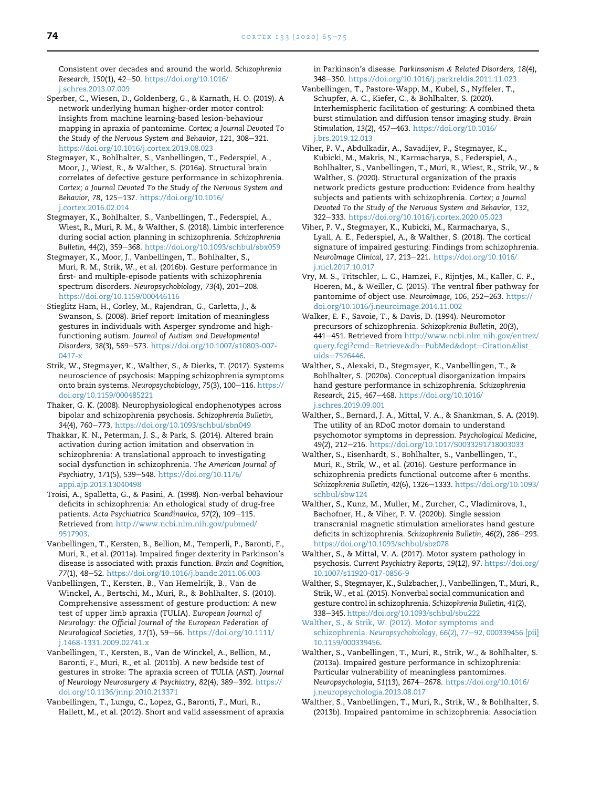Consistent over decades and around the world. Schizophrenia Research, 150(1), 42-50. [https://doi.org/10.1016/](https://doi.org/10.1016/j.schres.2013.07.009) [j.schres.2013.07.009](https://doi.org/10.1016/j.schres.2013.07.009)

- <span id="page-9-19"></span>Sperber, C., Wiesen, D., Goldenberg, G., & Karnath, H. O. (2019). A network underlying human higher-order motor control: Insights from machine learning-based lesion-behaviour mapping in apraxia of pantomime. Cortex; a Journal Devoted To the Study of the Nervous System and Behavior, 121, 308-321. <https://doi.org/10.1016/j.cortex.2019.08.023>
- <span id="page-9-14"></span>Stegmayer, K., Bohlhalter, S., Vanbellingen, T., Federspiel, A., Moor, J., Wiest, R., & Walther, S. (2016a). Structural brain correlates of defective gesture performance in schizophrenia. Cortex; a Journal Devoted To the Study of the Nervous System and Behavior, 78, 125-137. [https://doi.org/10.1016/](https://doi.org/10.1016/j.cortex.2016.02.014) [j.cortex.2016.02.014](https://doi.org/10.1016/j.cortex.2016.02.014)
- <span id="page-9-17"></span>Stegmayer, K., Bohlhalter, S., Vanbellingen, T., Federspiel, A., Wiest, R., Muri, R. M., & Walther, S. (2018). Limbic interference during social action planning in schizophrenia. Schizophrenia Bulletin, 44(2), 359-368. <https://doi.org/10.1093/schbul/sbx059>
- <span id="page-9-5"></span>Stegmayer, K., Moor, J., Vanbellingen, T., Bohlhalter, S., Muri, R. M., Strik, W., et al. (2016b). Gesture performance in first- and multiple-episode patients with schizophrenia spectrum disorders. Neuropsychobiology, 73(4), 201-208. <https://doi.org/10.1159/000446116>
- <span id="page-9-8"></span>Stieglitz Ham, H., Corley, M., Rajendran, G., Carletta, J., & Swanson, S. (2008). Brief report: Imitation of meaningless gestures in individuals with Asperger syndrome and highfunctioning autism. Journal of Autism and Developmental Disorders, 38(3), 569-573. [https://doi.org/10.1007/s10803-007-](https://doi.org/10.1007/s10803-007-0417-x) [0417-x](https://doi.org/10.1007/s10803-007-0417-x)
- <span id="page-9-6"></span>Strik, W., Stegmayer, K., Walther, S., & Dierks, T. (2017). Systems neuroscience of psychosis: Mapping schizophrenia symptoms onto brain systems. Neuropsychobiology, 75(3), 100-116. [https://](https://doi.org/10.1159/000485221) [doi.org/10.1159/000485221](https://doi.org/10.1159/000485221)
- <span id="page-9-22"></span>Thaker, G. K. (2008). Neurophysiological endophenotypes across bipolar and schizophrenia psychosis. Schizophrenia Bulletin, 34(4), 760-773. <https://doi.org/10.1093/schbul/sbn049>
- <span id="page-9-18"></span>Thakkar, K. N., Peterman, J. S., & Park, S. (2014). Altered brain activation during action imitation and observation in schizophrenia: A translational approach to investigating social dysfunction in schizophrenia. The American Journal of Psychiatry, 171(5), 539-548. [https://doi.org/10.1176/](https://doi.org/10.1176/appi.ajp.2013.13040498) [appi.ajp.2013.13040498](https://doi.org/10.1176/appi.ajp.2013.13040498)
- <span id="page-9-11"></span>Troisi, A., Spalletta, G., & Pasini, A. (1998). Non-verbal behaviour deficits in schizophrenia: An ethological study of drug-free patients. Acta Psychiatrica Scandinavica, 97(2), 109-115. Retrieved from [http://www.ncbi.nlm.nih.gov/pubmed/](http://www.ncbi.nlm.nih.gov/pubmed/9517903) [9517903](http://www.ncbi.nlm.nih.gov/pubmed/9517903).
- <span id="page-9-23"></span>Vanbellingen, T., Kersten, B., Bellion, M., Temperli, P., Baronti, F., Muri, R., et al. (2011a). Impaired finger dexterity in Parkinson's disease is associated with praxis function. Brain and Cognition, 77(1), 48-52. <https://doi.org/10.1016/j.bandc.2011.06.003>
- <span id="page-9-0"></span>Vanbellingen, T., Kersten, B., Van Hemelrijk, B., Van de Winckel, A., Bertschi, M., Muri, R., & Bohlhalter, S. (2010). Comprehensive assessment of gesture production: A new test of upper limb apraxia (TULIA). European Journal of Neurology: the Official Journal of the European Federation of Neurological Societies, 17(1), 59-66. [https://doi.org/10.1111/](https://doi.org/10.1111/j.1468-1331.2009.02741.x) [j.1468-1331.2009.02741.x](https://doi.org/10.1111/j.1468-1331.2009.02741.x)
- <span id="page-9-25"></span>Vanbellingen, T., Kersten, B., Van de Winckel, A., Bellion, M., Baronti, F., Muri, R., et al. (2011b). A new bedside test of gestures in stroke: The apraxia screen of TULIA (AST). Journal of Neurology Neurosurgery & Psychiatry, 82(4), 389-392. [https://](https://doi.org/10.1136/jnnp.2010.213371) [doi.org/10.1136/jnnp.2010.213371](https://doi.org/10.1136/jnnp.2010.213371)
- <span id="page-9-26"></span>Vanbellingen, T., Lungu, C., Lopez, G., Baronti, F., Muri, R., Hallett, M., et al. (2012). Short and valid assessment of apraxia

in Parkinson's disease. Parkinsonism & Related Disorders, 18(4), 348-350. <https://doi.org/10.1016/j.parkreldis.2011.11.023>

- <span id="page-9-20"></span>Vanbellingen, T., Pastore-Wapp, M., Kubel, S., Nyffeler, T., Schupfer, A. C., Kiefer, C., & Bohlhalter, S. (2020). Interhemispheric facilitation of gesturing: A combined theta burst stimulation and diffusion tensor imaging study. Brain Stimulation, 13(2), 457-463. [https://doi.org/10.1016/](https://doi.org/10.1016/j.brs.2019.12.013) [j.brs.2019.12.013](https://doi.org/10.1016/j.brs.2019.12.013)
- <span id="page-9-16"></span>Viher, P. V., Abdulkadir, A., Savadijev, P., Stegmayer, K., Kubicki, M., Makris, N., Karmacharya, S., Federspiel, A., Bohlhalter, S., Vanbellingen, T., Muri, R., Wiest, R., Strik, W., & Walther, S. (2020). Structural organization of the praxis network predicts gesture production: Evidence from healthy subjects and patients with schizophrenia. Cortex; a Journal Devoted To the Study of the Nervous System and Behavior, 132, 322-333. <https://doi.org/10.1016/j.cortex.2020.05.023>
- <span id="page-9-15"></span>Viher, P. V., Stegmayer, K., Kubicki, M., Karmacharya, S., Lyall, A. E., Federspiel, A., & Walther, S. (2018). The cortical signature of impaired gesturing: Findings from schizophrenia. NeuroImage Clinical, 17, 213-221. [https://doi.org/10.1016/](https://doi.org/10.1016/j.nicl.2017.10.017) [j.nicl.2017.10.017](https://doi.org/10.1016/j.nicl.2017.10.017)
- <span id="page-9-24"></span>Vry, M. S., Tritschler, L. C., Hamzei, F., Rijntjes, M., Kaller, C. P., Hoeren, M., & Weiller, C. (2015). The ventral fiber pathway for pantomime of object use. Neuroimage, 106, 252-263. [https://](https://doi.org/10.1016/j.neuroimage.2014.11.002) [doi.org/10.1016/j.neuroimage.2014.11.002](https://doi.org/10.1016/j.neuroimage.2014.11.002)
- <span id="page-9-13"></span>Walker, E. F., Savoie, T., & Davis, D. (1994). Neuromotor precursors of schizophrenia. Schizophrenia Bulletin, 20(3), 441-451. Retrieved from [http://www.ncbi.nlm.nih.gov/entrez/](http://www.ncbi.nlm.nih.gov/entrez/query.fcgi?cmd=Retrieve&db=PubMed&dopt=Citation&list_uids=7526446) [query.fcgi?cmd](http://www.ncbi.nlm.nih.gov/entrez/query.fcgi?cmd=Retrieve&db=PubMed&dopt=Citation&list_uids=7526446)=[Retrieve](http://www.ncbi.nlm.nih.gov/entrez/query.fcgi?cmd=Retrieve&db=PubMed&dopt=Citation&list_uids=7526446)&[db](http://www.ncbi.nlm.nih.gov/entrez/query.fcgi?cmd=Retrieve&db=PubMed&dopt=Citation&list_uids=7526446)=[PubMed](http://www.ncbi.nlm.nih.gov/entrez/query.fcgi?cmd=Retrieve&db=PubMed&dopt=Citation&list_uids=7526446)&[dopt](http://www.ncbi.nlm.nih.gov/entrez/query.fcgi?cmd=Retrieve&db=PubMed&dopt=Citation&list_uids=7526446)=[Citation](http://www.ncbi.nlm.nih.gov/entrez/query.fcgi?cmd=Retrieve&db=PubMed&dopt=Citation&list_uids=7526446)&[list\\_](http://www.ncbi.nlm.nih.gov/entrez/query.fcgi?cmd=Retrieve&db=PubMed&dopt=Citation&list_uids=7526446) [uids](http://www.ncbi.nlm.nih.gov/entrez/query.fcgi?cmd=Retrieve&db=PubMed&dopt=Citation&list_uids=7526446)=[7526446.](http://www.ncbi.nlm.nih.gov/entrez/query.fcgi?cmd=Retrieve&db=PubMed&dopt=Citation&list_uids=7526446)
- <span id="page-9-4"></span>Walther, S., Alexaki, D., Stegmayer, K., Vanbellingen, T., & Bohlhalter, S. (2020a). Conceptual disorganization impairs hand gesture performance in schizophrenia. Schizophrenia Research, 215, 467-468. [https://doi.org/10.1016/](https://doi.org/10.1016/j.schres.2019.09.001) [j.schres.2019.09.001](https://doi.org/10.1016/j.schres.2019.09.001)
- <span id="page-9-9"></span>Walther, S., Bernard, J. A., Mittal, V. A., & Shankman, S. A. (2019). The utility of an RDoC motor domain to understand psychomotor symptoms in depression. Psychological Medicine, 49(2), 212-216. <https://doi.org/10.1017/S0033291718003033>
- <span id="page-9-10"></span>Walther, S., Eisenhardt, S., Bohlhalter, S., Vanbellingen, T., Muri, R., Strik, W., et al. (2016). Gesture performance in schizophrenia predicts functional outcome after 6 months. Schizophrenia Bulletin, 42(6), 1326-1333. [https://doi.org/10.1093/](https://doi.org/10.1093/schbul/sbw124) [schbul/sbw124](https://doi.org/10.1093/schbul/sbw124)
- <span id="page-9-21"></span>Walther, S., Kunz, M., Muller, M., Zurcher, C., Vladimirova, I., Bachofner, H., & Viher, P. V. (2020b). Single session transcranial magnetic stimulation ameliorates hand gesture deficits in schizophrenia. Schizophrenia Bulletin, 46(2), 286-293. <https://doi.org/10.1093/schbul/sbz078>
- <span id="page-9-7"></span>Walther, S., & Mittal, V. A. (2017). Motor system pathology in psychosis. Current Psychiatry Reports, 19(12), 97. [https://doi.org/](https://doi.org/10.1007/s11920-017-0856-9) [10.1007/s11920-017-0856-9](https://doi.org/10.1007/s11920-017-0856-9)
- <span id="page-9-3"></span>Walther, S., Stegmayer, K., Sulzbacher, J., Vanbellingen, T., Muri, R., Strik, W., et al. (2015). Nonverbal social communication and gesture control in schizophrenia. Schizophrenia Bulletin, 41(2), 338e345. <https://doi.org/10.1093/schbul/sbu222>
- <span id="page-9-12"></span>[Walther, S., & Strik, W. \(2012\). Motor symptoms and](http://refhub.elsevier.com/S0010-9452(20)30360-9/sref79) schizophrenia. [Neuropsychobiology, 66](http://refhub.elsevier.com/S0010-9452(20)30360-9/sref79)(2), 77-[92, 000339456 \[pii\]](http://refhub.elsevier.com/S0010-9452(20)30360-9/sref79) [10.1159/000339456](http://refhub.elsevier.com/S0010-9452(20)30360-9/sref79).
- <span id="page-9-1"></span>Walther, S., Vanbellingen, T., Muri, R., Strik, W., & Bohlhalter, S. (2013a). Impaired gesture performance in schizophrenia: Particular vulnerability of meaningless pantomimes. Neuropsychologia, 51(13), 2674-2678. [https://doi.org/10.1016/](https://doi.org/10.1016/j.neuropsychologia.2013.08.017) [j.neuropsychologia.2013.08.017](https://doi.org/10.1016/j.neuropsychologia.2013.08.017)
- <span id="page-9-2"></span>Walther, S., Vanbellingen, T., Muri, R., Strik, W., & Bohlhalter, S. (2013b). Impaired pantomime in schizophrenia: Association